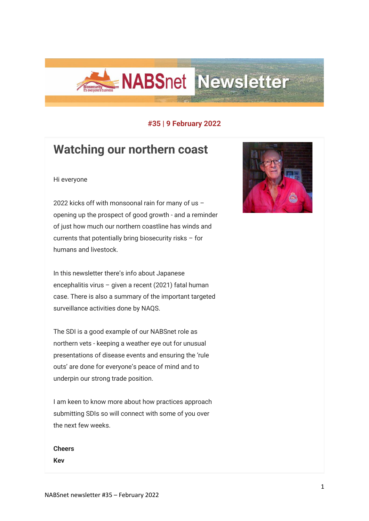

### **#35 | 9 February 2022**

# **Watching our northern coast**

#### Hi everyone

2022 kicks off with monsoonal rain for many of us – opening up the prospect of good growth - and a reminder of just how much our northern coastline has winds and currents that potentially bring biosecurity risks – for humans and livestock.

In this newsletter there's info about Japanese encephalitis virus – given a recent (2021) fatal human case. There is also a summary of the important targeted surveillance activities done by NAQS.

The SDI is a good example of our NABSnet role as northern vets - keeping a weather eye out for unusual presentations of disease events and ensuring the 'rule outs' are done for everyone's peace of mind and to underpin our strong trade position.

I am keen to know more about how practices approach submitting SDIs so will connect with some of you over the next few weeks.

**Cheers Kev**

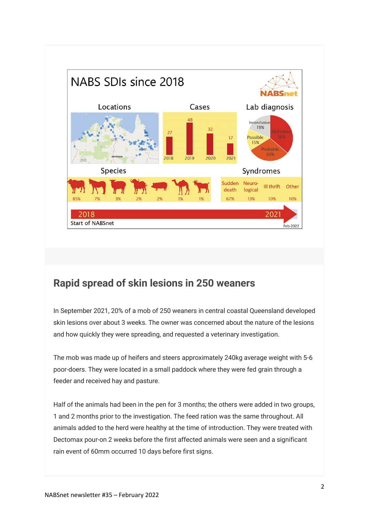

## **Rapid spread of skin lesions in 250 weaners**

In September 2021, 20% of a mob of 250 weaners in central coastal Queensland developed skin lesions over about 3 weeks. The owner was concerned about the nature of the lesions and how quickly they were spreading, and requested a veterinary investigation.

The mob was made up of heifers and steers approximately 240kg average weight with 5-6 poor-doers. They were located in a small paddock where they were fed grain through a feeder and received hay and pasture.

Half of the animals had been in the pen for 3 months; the others were added in two groups, 1 and 2 months prior to the investigation. The feed ration was the same throughout. All animals added to the herd were healthy at the time of introduction. They were treated with Dectomax pour-on 2 weeks before the first affected animals were seen and a significant rain event of 60mm occurred 10 days before first signs.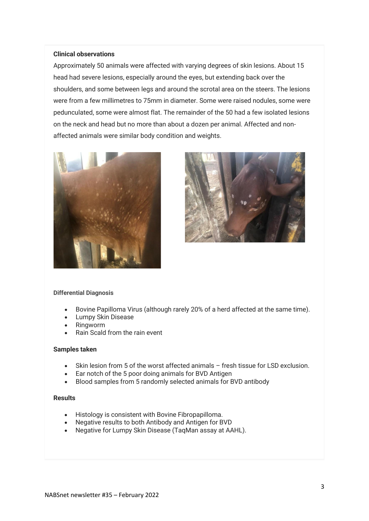#### **Clinical observations**

Approximately 50 animals were affected with varying degrees of skin lesions. About 15 head had severe lesions, especially around the eyes, but extending back over the shoulders, and some between legs and around the scrotal area on the steers. The lesions were from a few millimetres to 75mm in diameter. Some were raised nodules, some were pedunculated, some were almost flat. The remainder of the 50 had a few isolated lesions on the neck and head but no more than about a dozen per animal. Affected and nonaffected animals were similar body condition and weights.





#### **Differential Diagnosis**

- Bovine Papilloma Virus (although rarely 20% of a herd affected at the same time).
- Lumpy Skin Disease
- Ringworm
- Rain Scald from the rain event

#### **Samples taken**

- Skin lesion from 5 of the worst affected animals fresh tissue for LSD exclusion.
- Ear notch of the 5 poor doing animals for BVD Antigen
- Blood samples from 5 randomly selected animals for BVD antibody

#### **Results**

- Histology is consistent with Bovine Fibropapilloma.
- Negative results to both Antibody and Antigen for BVD
- Negative for Lumpy Skin Disease (TaqMan assay at AAHL).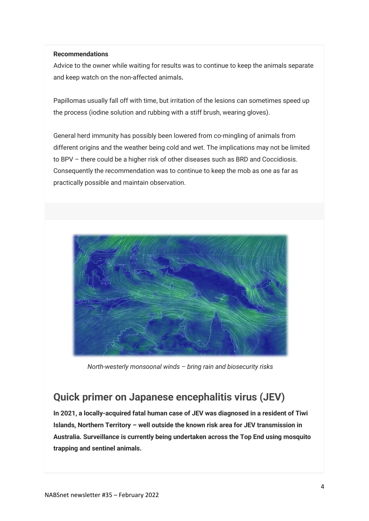#### **Recommendations**

Advice to the owner while waiting for results was to continue to keep the animals separate and keep watch on the non-affected animals**.**

Papillomas usually fall off with time, but irritation of the lesions can sometimes speed up the process (iodine solution and rubbing with a stiff brush, wearing gloves).

General herd immunity has possibly been lowered from co-mingling of animals from different origins and the weather being cold and wet. The implications may not be limited to BPV – there could be a higher risk of other diseases such as BRD and Coccidiosis. Consequently the recommendation was to continue to keep the mob as one as far as practically possible and maintain observation.



*North-westerly monsoonal winds – bring rain and biosecurity risks*

## **Quick primer on Japanese encephalitis virus (JEV)**

**In 2021, a locally-acquired fatal human case of JEV was diagnosed in a resident of Tiwi Islands, Northern Territory – well outside the known risk area for JEV transmission in Australia. Surveillance is currently being undertaken across the Top End using mosquito trapping and sentinel animals.**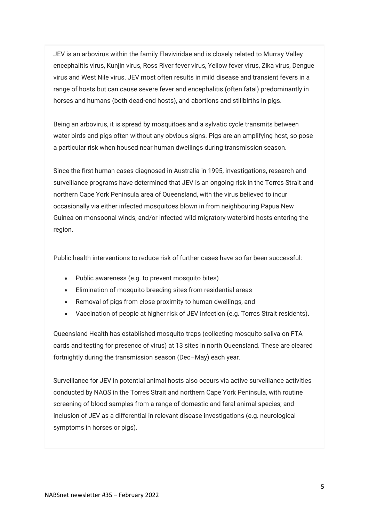JEV is an arbovirus within the family Flaviviridae and is closely related to Murray Valley encephalitis virus, Kunjin virus, Ross River fever virus, Yellow fever virus, Zika virus, Dengue virus and West Nile virus. JEV most often results in mild disease and transient fevers in a range of hosts but can cause severe fever and encephalitis (often fatal) predominantly in horses and humans (both dead-end hosts), and abortions and stillbirths in pigs.

Being an arbovirus, it is spread by mosquitoes and a sylvatic cycle transmits between water birds and pigs often without any obvious signs. Pigs are an amplifying host, so pose a particular risk when housed near human dwellings during transmission season.

Since the first human cases diagnosed in Australia in 1995, investigations, research and surveillance programs have determined that JEV is an ongoing risk in the Torres Strait and northern Cape York Peninsula area of Queensland, with the virus believed to incur occasionally via either infected mosquitoes blown in from neighbouring Papua New Guinea on monsoonal winds, and/or infected wild migratory waterbird hosts entering the region.

Public health interventions to reduce risk of further cases have so far been successful:

- Public awareness (e.g. to prevent mosquito bites)
- Elimination of mosquito breeding sites from residential areas
- Removal of pigs from close proximity to human dwellings, and
- Vaccination of people at higher risk of JEV infection (e.g. Torres Strait residents).

Queensland Health has established mosquito traps (collecting mosquito saliva on FTA cards and testing for presence of virus) at 13 sites in north Queensland. These are cleared fortnightly during the transmission season (Dec–May) each year.

Surveillance for JEV in potential animal hosts also occurs via active surveillance activities conducted by NAQS in the Torres Strait and northern Cape York Peninsula, with routine screening of blood samples from a range of domestic and feral animal species; and inclusion of JEV as a differential in relevant disease investigations (e.g. neurological symptoms in horses or pigs).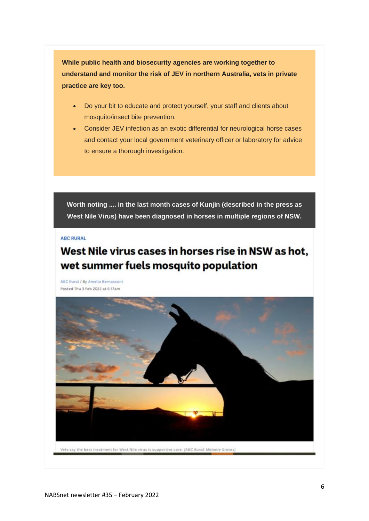**While public health and biosecurity agencies are working together to understand and monitor the risk of JEV in northern Australia, vets in private practice are key too.**

- Do your bit to educate and protect yourself, your staff and clients about mosquito/insect bite prevention.
- Consider JEV infection as an exotic differential for neurological horse cases and contact your local government veterinary officer or laboratory for advice to ensure a thorough investigation.

**Worth noting .... in the last month cases of Kunjin (described in the press as West Nile Virus) have been diagnosed in horses in multiple regions of NSW.**

#### **ABC RURAL**

## West Nile virus cases in horses rise in NSW as hot, wet summer fuels mosquito population

ABC Rural / By Amelia Bernasconi Posted Thu 3 Feb 2022 at 6:17am

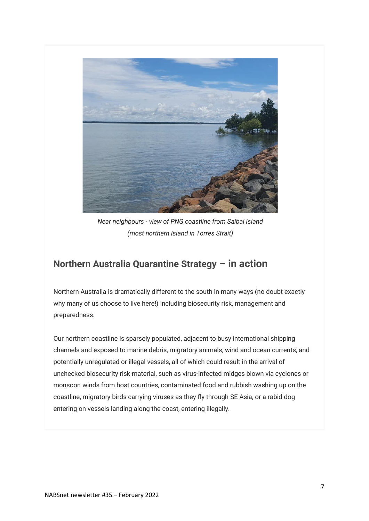

*Near neighbours - view of PNG coastline from Saibai Island (most northern Island in Torres Strait)*

### **Northern Australia Quarantine Strategy – in action**

Northern Australia is dramatically different to the south in many ways (no doubt exactly why many of us choose to live here!) including biosecurity risk, management and preparedness.

Our northern coastline is sparsely populated, adjacent to busy international shipping channels and exposed to marine debris, migratory animals, wind and ocean currents, and potentially unregulated or illegal vessels, all of which could result in the arrival of unchecked biosecurity risk material, such as virus-infected midges blown via cyclones or monsoon winds from host countries, contaminated food and rubbish washing up on the coastline, migratory birds carrying viruses as they fly through SE Asia, or a rabid dog entering on vessels landing along the coast, entering illegally.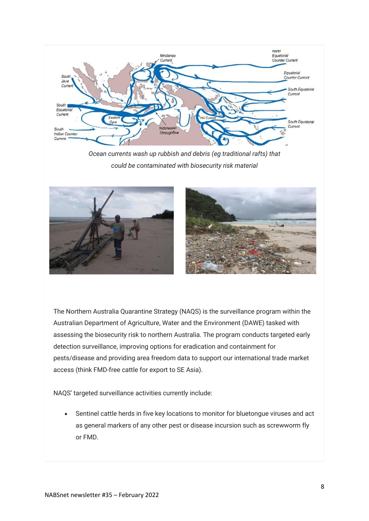

*Ocean currents wash up rubbish and debris (eg traditional rafts) that could be contaminated with biosecurity risk material*



The Northern Australia Quarantine Strategy (NAQS) is the surveillance program within the Australian Department of Agriculture, Water and the Environment (DAWE) tasked with assessing the biosecurity risk to northern Australia. The program conducts targeted early detection surveillance, improving options for eradication and containment for pests/disease and providing area freedom data to support our international trade market access (think FMD-free cattle for export to SE Asia).

NAQS' targeted surveillance activities currently include:

• Sentinel cattle herds in five key locations to monitor for bluetongue viruses and act as general markers of any other pest or disease incursion such as screwworm fly or FMD.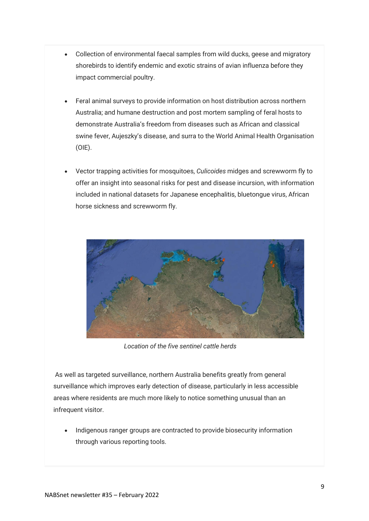- Collection of environmental faecal samples from wild ducks, geese and migratory shorebirds to identify endemic and exotic strains of avian influenza before they impact commercial poultry.
- Feral animal surveys to provide information on host distribution across northern Australia; and humane destruction and post mortem sampling of feral hosts to demonstrate Australia's freedom from diseases such as African and classical swine fever, Aujeszky's disease, and surra to the World Animal Health Organisation (OIE).
- Vector trapping activities for mosquitoes, *Culicoides* midges and screwworm fly to offer an insight into seasonal risks for pest and disease incursion, with information included in national datasets for Japanese encephalitis, bluetongue virus, African horse sickness and screwworm fly.



*Location of the five sentinel cattle herds*

As well as targeted surveillance, northern Australia benefits greatly from general surveillance which improves early detection of disease, particularly in less accessible areas where residents are much more likely to notice something unusual than an infrequent visitor.

• Indigenous ranger groups are contracted to provide biosecurity information through various reporting tools.